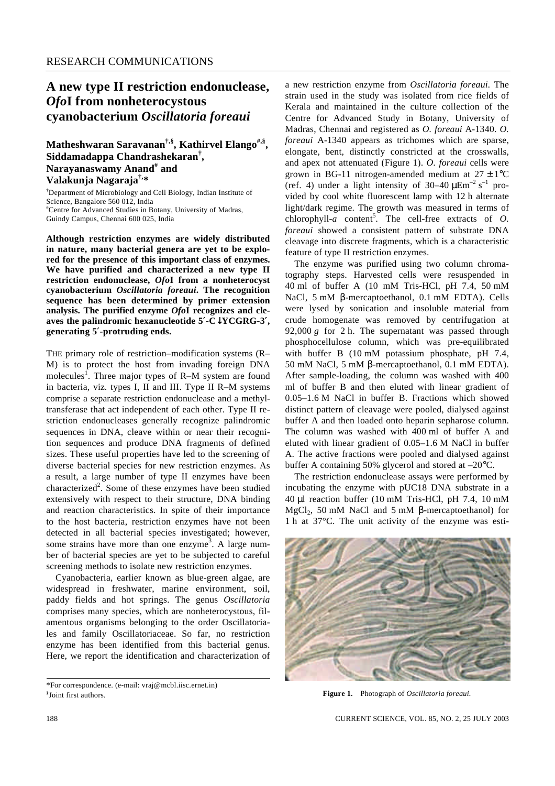## **A new type II restriction endonuclease,**  *Ofo***I from nonheterocystous cyanobacterium** *Oscillatoria foreaui*

**Matheshwaran Saravanan†,§, Kathirvel Elango#,§ , Siddamadappa Chandrashekaran† , Narayanaswamy Anand# and Valakunja Nagaraja†,\***

†Department of Microbiology and Cell Biology, Indian Institute of Science, Bangalore 560 012, India #Centre for Advanced Studies in Botany, University of Madras, Guindy Campus, Chennai 600 025, India

**Although restriction enzymes are widely distributed in nature, many bacterial genera are yet to be explored for the presence of this important class of enzymes. We have purified and characterized a new type II restriction endonuclease,** *Ofo***I from a nonheterocyst cyanobacterium** *Oscillatoria foreaui***. The recognition sequence has been determined by primer extension analysis. The purified enzyme** *Ofo***I recognizes and cleaves the palindromic hexanucleotide 5**′**-C**↓**YCGRG-3**′**, generating 5**′**-protruding ends.** 

THE primary role of restriction–modification systems (R– M) is to protect the host from invading foreign DNA molecules<sup>1</sup>. Three major types of R–M system are found in bacteria, viz*.* types I, II and III. Type II R–M systems comprise a separate restriction endonuclease and a methyltransferase that act independent of each other. Type II restriction endonucleases generally recognize palindromic sequences in DNA, cleave within or near their recognition sequences and produce DNA fragments of defined sizes. These useful properties have led to the screening of diverse bacterial species for new restriction enzymes. As a result, a large number of type II enzymes have been characterized<sup>2</sup>. Some of these enzymes have been studied extensively with respect to their structure, DNA binding and reaction characteristics. In spite of their importance to the host bacteria, restriction enzymes have not been detected in all bacterial species investigated; however, some strains have more than one enzyme<sup>3</sup>. A large number of bacterial species are yet to be subjected to careful screening methods to isolate new restriction enzymes.

Cyanobacteria, earlier known as blue-green algae, are widespread in freshwater, marine environment, soil, paddy fields and hot springs. The genus *Oscillatoria*  comprises many species, which are nonheterocystous, filamentous organisms belonging to the order Oscillatoriales and family Oscillatoriaceae. So far, no restriction enzyme has been identified from this bacterial genus. Here, we report the identification and characterization of

\*For correspondence. (e-mail: vraj@mcbl.iisc.ernet.in) § Joint first authors.

a new restriction enzyme from *Oscillatoria foreaui.* The strain used in the study was isolated from rice fields of Kerala and maintained in the culture collection of the Centre for Advanced Study in Botany, University of Madras, Chennai and registered as *O. foreaui* A-1340. *O. foreaui* A-1340 appears as trichomes which are sparse, elongate, bent, distinctly constricted at the crosswalls, and apex not attenuated (Figure 1). *O. foreaui* cells were grown in BG-11 nitrogen-amended medium at  $27 \pm 1$ °C (ref. 4) under a light intensity of  $30-40 \mu \text{Em}^{-2} \text{ s}^{-1}$  provided by cool white fluorescent lamp with 12 h alternate light/dark regime. The growth was measured in terms of  $chlorophyll-a$  content<sup>5</sup>. The cell-free extracts of  $O$ . *foreaui* showed a consistent pattern of substrate DNA cleavage into discrete fragments, which is a characteristic feature of type II restriction enzymes.

The enzyme was purified using two column chromatography steps. Harvested cells were resuspended in 40 ml of buffer A (10 mM Tris-HCl, pH 7.4, 50 mM NaCl, 5 mM *b*-mercaptoethanol, 0.1 mM EDTA). Cells were lysed by sonication and insoluble material from crude homogenate was removed by centrifugation at 92,000 *g* for 2 h. The supernatant was passed through phosphocellulose column, which was pre-equilibrated with buffer B (10 mM potassium phosphate, pH 7.4, 50 mM NaCl, 5 mM *b*-mercaptoethanol, 0.1 mM EDTA). After sample-loading, the column was washed with 400 ml of buffer B and then eluted with linear gradient of 0.05–1.6 M NaCl in buffer B. Fractions which showed distinct pattern of cleavage were pooled, dialysed against buffer A and then loaded onto heparin sepharose column. The column was washed with 400 ml of buffer A and eluted with linear gradient of 0.05–1.6 M NaCl in buffer A. The active fractions were pooled and dialysed against buffer A containing 50% glycerol and stored at –20°C.

The restriction endonuclease assays were performed by incubating the enzyme with pUC18 DNA substrate in a 40 μl reaction buffer (10 mM Tris-HCl, pH 7.4, 10 mM  $MgCl<sub>2</sub>$ , 50 mM NaCl and 5 mM **b**-mercaptoethanol) for 1 h at 37°C. The unit activity of the enzyme was esti-



**Figure 1.** Photograph of *Oscillatoria foreaui.*

188 CURRENT SCIENCE, VOL. 85, NO. 2, 25 JULY 2003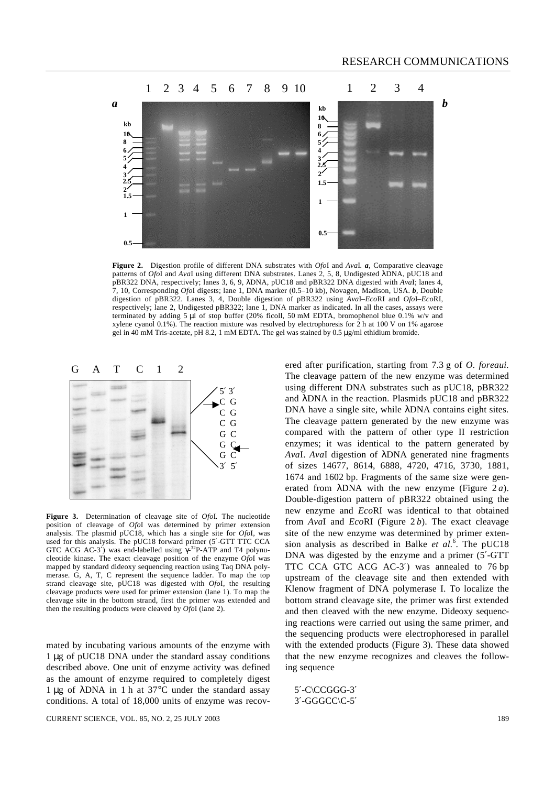

**Figure 2.** Digestion profile of different DNA substrates with *Ofo*I and *Ava*I*. a*, Comparative cleavage patterns of *Ofo*I and *Ava*I using different DNA substrates. Lanes 2, 5, 8, Undigested *l*DNA, pUC18 and pBR322 DNA, respectively; lanes 3, 6, 9, *l*DNA, pUC18 and pBR322 DNA digested with *Ava*I; lanes 4, 7, 10, Corresponding *Ofo*I digests; lane 1, DNA marker (0.5–10 kb), Novagen, Madison, USA. *b*, Double digestion of pBR322. Lanes 3, 4, Double digestion of pBR322 using *Ava*I*–Eco*RI and *Ofo*I*–Eco*RI, respectively; lane 2, Undigested pBR322; lane 1, DNA marker as indicated. In all the cases, assays were terminated by adding 5 μl of stop buffer (20% ficoll, 50 mM EDTA, bromophenol blue 0.1% w/v and xylene cyanol 0.1%). The reaction mixture was resolved by electrophoresis for 2 h at 100 V on 1% agarose gel in 40 mM Tris-acetate, pH 8.2, 1 mM EDTA. The gel was stained by 0.5 μg/ml ethidium bromide.



**Figure 3.** Determination of cleavage site of *Ofo*I*.* The nucleotide position of cleavage of *Ofo*I was determined by primer extension analysis. The plasmid pUC18, which has a single site for *Ofo*I, was used for this analysis. The pUC18 forward primer (5′-GTT TTC CCA GTC ACG AC-3′) was end-labelled using *g*-<sup>32</sup>P-ATP and T4 polynucleotide kinase. The exact cleavage position of the enzyme *Ofo*I was mapped by standard dideoxy sequencing reaction using Taq DNA polymerase. G, A, T, C represent the sequence ladder. To map the top strand cleavage site, pUC18 was digested with *Ofo*I, the resulting cleavage products were used for primer extension (lane 1). To map the cleavage site in the bottom strand, first the primer was extended and then the resulting products were cleaved by *Ofo*I (lane 2).

mated by incubating various amounts of the enzyme with 1 μg of pUC18 DNA under the standard assay conditions described above. One unit of enzyme activity was defined as the amount of enzyme required to completely digest 1 μg of *l*DNA in 1 h at 37°C under the standard assay conditions. A total of 18,000 units of enzyme was recovusing different DNA substrates such as pUC18, pBR322 and *l*DNA in the reaction. Plasmids pUC18 and pBR322 DNA have a single site, while *l*DNA contains eight sites. The cleavage pattern generated by the new enzyme was compared with the pattern of other type II restriction enzymes; it was identical to the pattern generated by *Ava*I. *Ava*I digestion of *l*DNA generated nine fragments of sizes 14677, 8614, 6888, 4720, 4716, 3730, 1881, 1674 and 1602 bp. Fragments of the same size were generated from *IDNA* with the new enzyme (Figure 2*a*). Double-digestion pattern of pBR322 obtained using the new enzyme and *Eco*RI was identical to that obtained from *Ava*I and *Eco*RI (Figure 2 *b*). The exact cleavage site of the new enzyme was determined by primer extension analysis as described in Balke *et al.*<sup>6</sup> . The pUC18 DNA was digested by the enzyme and a primer (5′-GTT TTC CCA GTC ACG AC-3′) was annealed to 76 bp upstream of the cleavage site and then extended with Klenow fragment of DNA polymerase I. To localize the bottom strand cleavage site, the primer was first extended and then cleaved with the new enzyme. Dideoxy sequencing reactions were carried out using the same primer, and the sequencing products were electrophoresed in parallel with the extended products (Figure 3). These data showed that the new enzyme recognizes and cleaves the following sequence

ered after purification, starting from 7.3 g of *O. foreaui.* The cleavage pattern of the new enzyme was determined

5′-C\CCGGG-3′ 3′-GGGCC\C-5′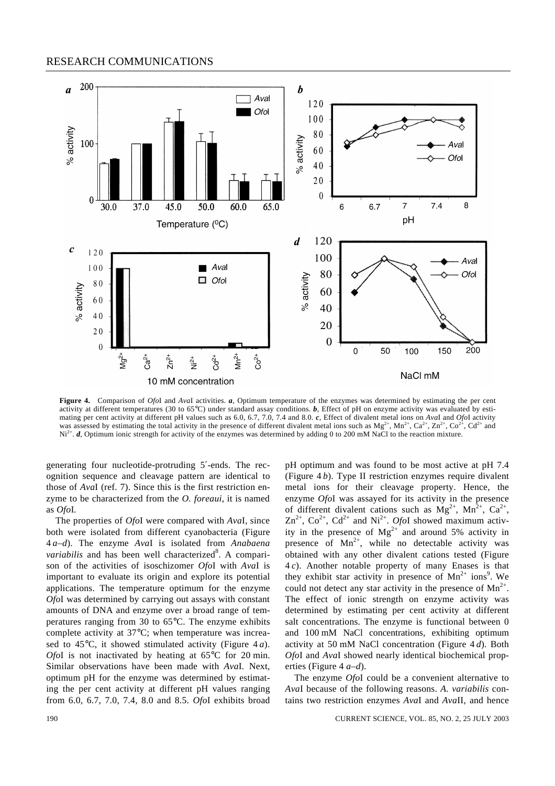## RESEARCH COMMUNICATIONS



**Figure 4.** Comparison of *Ofo*I and *Ava*I activities. *a*, Optimum temperature of the enzymes was determined by estimating the per cent activity at different temperatures (30 to 65°C) under standard assay conditions. *b*, Effect of pH on enzyme activity was evaluated by estimating per cent activity at different pH values such as 6.0, 6.7, 7.0, 7.4 and 8.0. *c*, Effect of divalent metal ions on *Ava*I and *Ofo*I activity was assessed by estimating the total activity in the presence of different divalent metal ions such as  $Mg^{2+}$ ,  $Mn^{2+}$ ,  $Ca^{2+}$ ,  $Zn^{2+}$ ,  $Co^{2+}$ ,  $Co^{2+}$ ,  $Cd^{2+}$  and Ni<sup>2+</sup>. *d*, Optimum ionic strength for activity of the enzymes was determined by adding 0 to 200 mM NaCl to the reaction mixture.

generating four nucleotide-protruding 5′-ends. The recognition sequence and cleavage pattern are identical to those of *Ava*I (ref. 7). Since this is the first restriction enzyme to be characterized from the *O. foreaui*, it is named as *Ofo*I*.*

The properties of *Ofo*I were compared with *Ava*I, since both were isolated from different cyanobacteria (Figure 4 *a*–*d*). The enzyme *Ava*I is isolated from *Anabaena*  variabilis and has been well characterized<sup>8</sup>. A comparison of the activities of isoschizomer *Ofo*I with *Ava*I is important to evaluate its origin and explore its potential applications. The temperature optimum for the enzyme *Ofo*I was determined by carrying out assays with constant amounts of DNA and enzyme over a broad range of temperatures ranging from 30 to 65°C. The enzyme exhibits complete activity at 37°C; when temperature was increased to 45°C, it showed stimulated activity (Figure 4 *a*). *Ofo*I is not inactivated by heating at 65°C for 20 min. Similar observations have been made with *Ava*I*.* Next, optimum pH for the enzyme was determined by estimating the per cent activity at different pH values ranging from 6.0, 6.7, 7.0, 7.4, 8.0 and 8.5. *Ofo*I exhibits broad pH optimum and was found to be most active at pH 7.4 (Figure 4 *b*). Type II restriction enzymes require divalent metal ions for their cleavage property. Hence, the enzyme *Ofo*I was assayed for its activity in the presence of different divalent cations such as  $Mg^{2+}$ ,  $Mn^{2+}$ ,  $Ca^{2+}$ ,  $\text{Zn}^{2+}$ ,  $\text{Co}^{2+}$ ,  $\text{Cd}^{2+}$  and  $\text{Ni}^{2+}$ . *OfoI* showed maximum activity in the presence of  $Mg^{2+}$  and around 5% activity in presence of  $Mn^{2+}$ , while no detectable activity was obtained with any other divalent cations tested (Figure 4 *c*). Another notable property of many Enases is that they exhibit star activity in presence of  $Mn^{2+}$  ions<sup>9</sup>. We could not detect any star activity in the presence of  $Mn^{2+}$ . The effect of ionic strength on enzyme activity was determined by estimating per cent activity at different salt concentrations. The enzyme is functional between 0 and 100 mM NaCl concentrations, exhibiting optimum activity at 50 mM NaCl concentration (Figure 4 *d*). Both *Ofo*I and *Ava*I showed nearly identical biochemical properties (Figure 4 *a–d*).

The enzyme *Ofo*I could be a convenient alternative to *Ava*I because of the following reasons. *A. variabilis* contains two restriction enzymes *Ava*I and *Ava*II, and hence